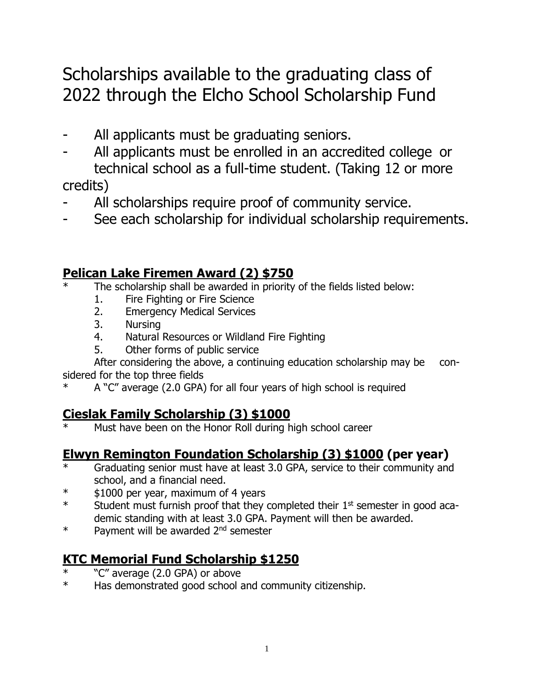# Scholarships available to the graduating class of 2022 through the Elcho School Scholarship Fund

- All applicants must be graduating seniors.
- All applicants must be enrolled in an accredited college or technical school as a full-time student. (Taking 12 or more

credits)

- All scholarships require proof of community service.
- See each scholarship for individual scholarship requirements.

# **Pelican Lake Firemen Award (2) \$750**

- The scholarship shall be awarded in priority of the fields listed below:
	- 1. Fire Fighting or Fire Science
	- 2. Emergency Medical Services
	- 3. Nursing
	- 4. Natural Resources or Wildland Fire Fighting
	- 5. Other forms of public service

After considering the above, a continuing education scholarship may be considered for the top three fields

A "C" average (2.0 GPA) for all four years of high school is required

# **Cieslak Family Scholarship (3) \$1000**

Must have been on the Honor Roll during high school career

# **Elwyn Remington Foundation Scholarship (3) \$1000 (per year)**

- Graduating senior must have at least 3.0 GPA, service to their community and school, and a financial need.
- \* \$1000 per year, maximum of 4 years
- $*$  Student must furnish proof that they completed their  $1<sup>st</sup>$  semester in good academic standing with at least 3.0 GPA. Payment will then be awarded.
- \* Payment will be awarded 2<sup>nd</sup> semester

# **KTC Memorial Fund Scholarship \$1250**

- "C" average (2.0 GPA) or above
- \* Has demonstrated good school and community citizenship.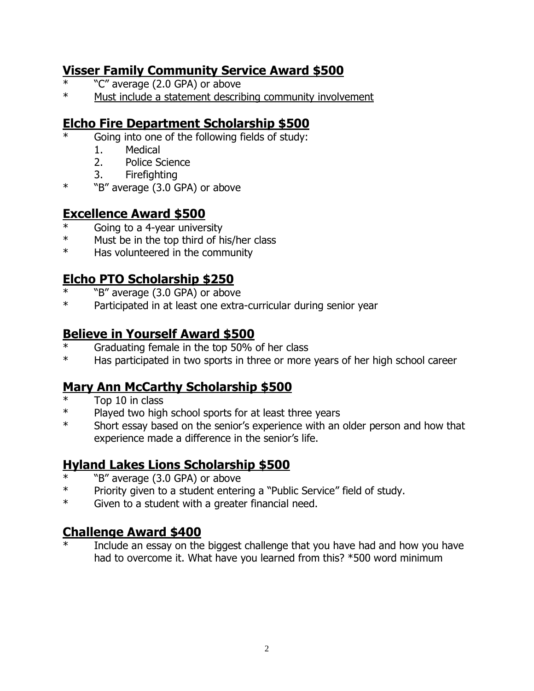## **Visser Family Community Service Award \$500**

- "C" average (2.0 GPA) or above
- \* Must include a statement describing community involvement

# **Elcho Fire Department Scholarship \$500**

- Going into one of the following fields of study:
	- 1. Medical
	- 2. Police Science
	- 3. Firefighting
- \* "B" average (3.0 GPA) or above

## **Excellence Award \$500**

- Going to a 4-year university
- \* Must be in the top third of his/her class
- \* Has volunteered in the community

## **Elcho PTO Scholarship \$250**

- "B" average (3.0 GPA) or above
- \* Participated in at least one extra-curricular during senior year

#### **Believe in Yourself Award \$500**

- \* Graduating female in the top 50% of her class
- \* Has participated in two sports in three or more years of her high school career

## **Mary Ann McCarthy Scholarship \$500**

- Top 10 in class
- \* Played two high school sports for at least three years
- \* Short essay based on the senior's experience with an older person and how that experience made a difference in the senior's life.

## **Hyland Lakes Lions Scholarship \$500**

- \*  $B''$  average (3.0 GPA) or above<br>\* Priority given to a student enteri
- Priority given to a student entering a "Public Service" field of study.
- \* Given to a student with a greater financial need.

## **Challenge Award \$400**

Include an essay on the biggest challenge that you have had and how you have had to overcome it. What have you learned from this? \*500 word minimum